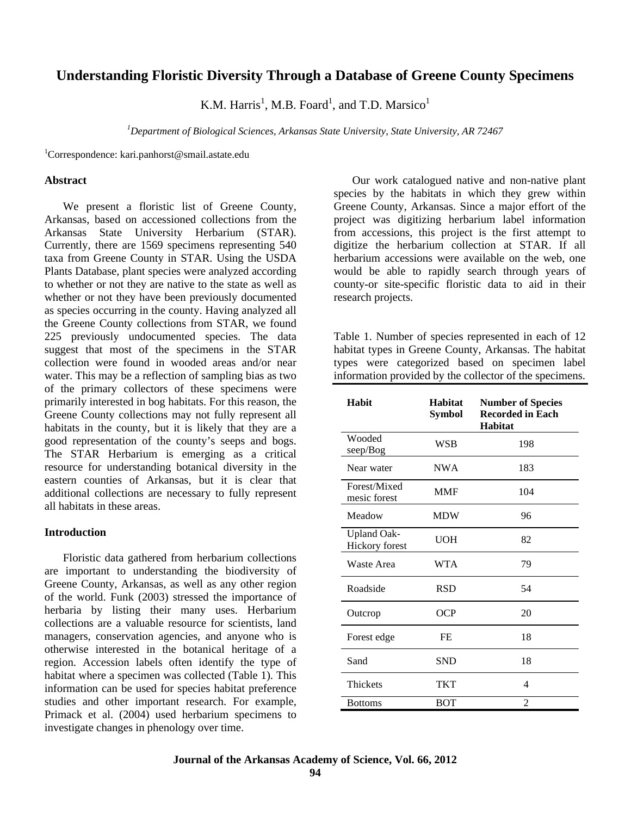# **Understanding Floristic Diversity Through a Database of Greene County Specimens**

K.M. Harris<sup>1</sup>, M.B. Foard<sup>1</sup>, and T.D. Marsico<sup>1</sup>

*<sup>1</sup>Department of Biological Sciences, Arkansas State University, State University, AR 72467*

<sup>1</sup>Correspondence: kari.panhorst@smail.astate.edu

#### **Abstract**

We present a floristic list of Greene County, Arkansas, based on accessioned collections from the Arkansas State University Herbarium (STAR). Currently, there are 1569 specimens representing 540 taxa from Greene County in STAR. Using the USDA Plants Database, plant species were analyzed according to whether or not they are native to the state as well as whether or not they have been previously documented as species occurring in the county. Having analyzed all the Greene County collections from STAR, we found 225 previously undocumented species. The data suggest that most of the specimens in the STAR collection were found in wooded areas and/or near water. This may be a reflection of sampling bias as two of the primary collectors of these specimens were primarily interested in bog habitats. For this reason, the Greene County collections may not fully represent all habitats in the county, but it is likely that they are a good representation of the county's seeps and bogs. The STAR Herbarium is emerging as a critical resource for understanding botanical diversity in the eastern counties of Arkansas, but it is clear that additional collections are necessary to fully represent all habitats in these areas.

#### **Introduction**

Floristic data gathered from herbarium collections are important to understanding the biodiversity of Greene County, Arkansas, as well as any other region of the world. Funk (2003) stressed the importance of herbaria by listing their many uses. Herbarium collections are a valuable resource for scientists, land managers, conservation agencies, and anyone who is otherwise interested in the botanical heritage of a region. Accession labels often identify the type of habitat where a specimen was collected (Table 1). This information can be used for species habitat preference studies and other important research. For example, Primack et al. (2004) used herbarium specimens to investigate changes in phenology over time.

Our work catalogued native and non-native plant species by the habitats in which they grew within Greene County, Arkansas. Since a major effort of the project was digitizing herbarium label information from accessions, this project is the first attempt to digitize the herbarium collection at STAR. If all herbarium accessions were available on the web, one would be able to rapidly search through years of county-or site-specific floristic data to aid in their research projects.

Table 1. Number of species represented in each of 12 habitat types in Greene County, Arkansas. The habitat types were categorized based on specimen label information provided by the collector of the specimens.

| Habit                                | Habitat<br><b>Symbol</b> | <b>Number of Species</b><br><b>Recorded in Each</b><br><b>Habitat</b> |
|--------------------------------------|--------------------------|-----------------------------------------------------------------------|
| Wooded<br>seep/Bog                   | WSB                      | 198                                                                   |
| Near water                           | <b>NWA</b>               | 183                                                                   |
| Forest/Mixed<br>mesic forest         | <b>MMF</b>               | 104                                                                   |
| Meadow                               | <b>MDW</b>               | 96                                                                    |
| <b>Upland Oak-</b><br>Hickory forest | <b>UOH</b>               | 82                                                                    |
| Waste Area                           | <b>WTA</b>               | 79                                                                    |
| Roadside                             | <b>RSD</b>               | 54                                                                    |
| Outcrop                              | OCP                      | 20                                                                    |
| Forest edge                          | FE                       | 18                                                                    |
| Sand                                 | <b>SND</b>               | 18                                                                    |
| Thickets                             | <b>TKT</b>               | 4                                                                     |
| <b>Bottoms</b>                       | <b>BOT</b>               | $\overline{c}$                                                        |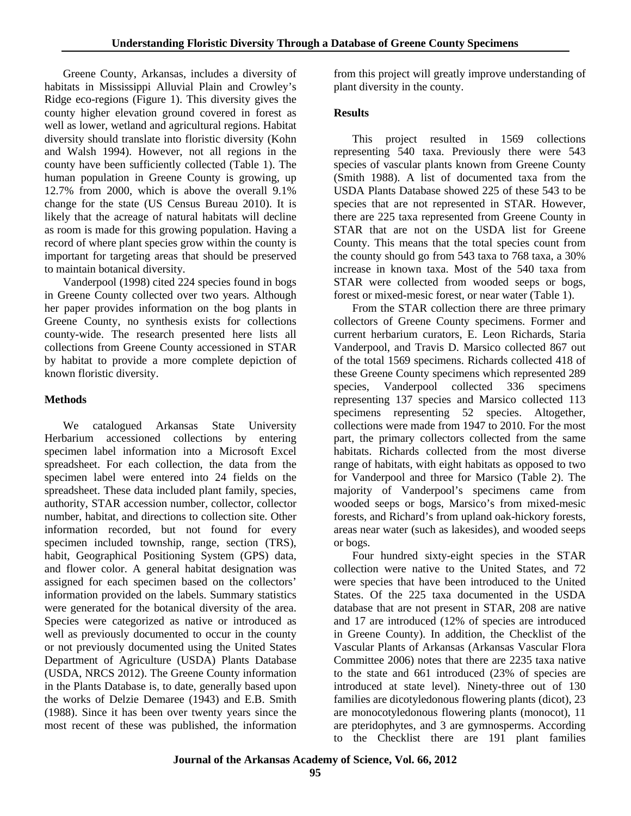Greene County, Arkansas, includes a diversity of habitats in Mississippi Alluvial Plain and Crowley's Ridge eco-regions (Figure 1). This diversity gives the county higher elevation ground covered in forest as well as lower, wetland and agricultural regions. Habitat diversity should translate into floristic diversity (Kohn and Walsh 1994). However, not all regions in the county have been sufficiently collected (Table 1). The human population in Greene County is growing, up 12.7% from 2000, which is above the overall 9.1% change for the state (US Census Bureau 2010). It is likely that the acreage of natural habitats will decline as room is made for this growing population. Having a record of where plant species grow within the county is important for targeting areas that should be preserved to maintain botanical diversity.

Vanderpool (1998) cited 224 species found in bogs in Greene County collected over two years. Although her paper provides information on the bog plants in Greene County, no synthesis exists for collections county-wide. The research presented here lists all collections from Greene County accessioned in STAR by habitat to provide a more complete depiction of known floristic diversity.

# **Methods**

We catalogued Arkansas State University Herbarium accessioned collections by entering specimen label information into a Microsoft Excel spreadsheet. For each collection, the data from the specimen label were entered into 24 fields on the spreadsheet. These data included plant family, species, authority, STAR accession number, collector, collector number, habitat, and directions to collection site. Other information recorded, but not found for every specimen included township, range, section (TRS), habit, Geographical Positioning System (GPS) data, and flower color. A general habitat designation was assigned for each specimen based on the collectors' information provided on the labels. Summary statistics were generated for the botanical diversity of the area. Species were categorized as native or introduced as well as previously documented to occur in the county or not previously documented using the United States Department of Agriculture (USDA) Plants Database (USDA, NRCS 2012). The Greene County information in the Plants Database is, to date, generally based upon the works of Delzie Demaree (1943) and E.B. Smith (1988). Since it has been over twenty years since the most recent of these was published, the information

from this project will greatly improve understanding of plant diversity in the county.

## **Results**

This project resulted in 1569 collections representing 540 taxa. Previously there were 543 species of vascular plants known from Greene County (Smith 1988). A list of documented taxa from the USDA Plants Database showed 225 of these 543 to be species that are not represented in STAR. However, there are 225 taxa represented from Greene County in STAR that are not on the USDA list for Greene County. This means that the total species count from the county should go from 543 taxa to 768 taxa, a 30% increase in known taxa. Most of the 540 taxa from STAR were collected from wooded seeps or bogs, forest or mixed-mesic forest, or near water (Table 1).

From the STAR collection there are three primary collectors of Greene County specimens. Former and current herbarium curators, E. Leon Richards, Staria Vanderpool, and Travis D. Marsico collected 867 out of the total 1569 specimens. Richards collected 418 of these Greene County specimens which represented 289 species, Vanderpool collected 336 specimens representing 137 species and Marsico collected 113 specimens representing 52 species. Altogether, collections were made from 1947 to 2010. For the most part, the primary collectors collected from the same habitats. Richards collected from the most diverse range of habitats, with eight habitats as opposed to two for Vanderpool and three for Marsico (Table 2). The majority of Vanderpool's specimens came from wooded seeps or bogs, Marsico's from mixed-mesic forests, and Richard's from upland oak-hickory forests, areas near water (such as lakesides), and wooded seeps or bogs.

Four hundred sixty-eight species in the STAR collection were native to the United States, and 72 were species that have been introduced to the United States. Of the 225 taxa documented in the USDA database that are not present in STAR, 208 are native and 17 are introduced (12% of species are introduced in Greene County). In addition, the Checklist of the Vascular Plants of Arkansas (Arkansas Vascular Flora Committee 2006) notes that there are 2235 taxa native to the state and 661 introduced (23% of species are introduced at state level). Ninety-three out of 130 families are dicotyledonous flowering plants (dicot), 23 are monocotyledonous flowering plants (monocot), 11 are pteridophytes, and 3 are gymnosperms. According to the Checklist there are 191 plant families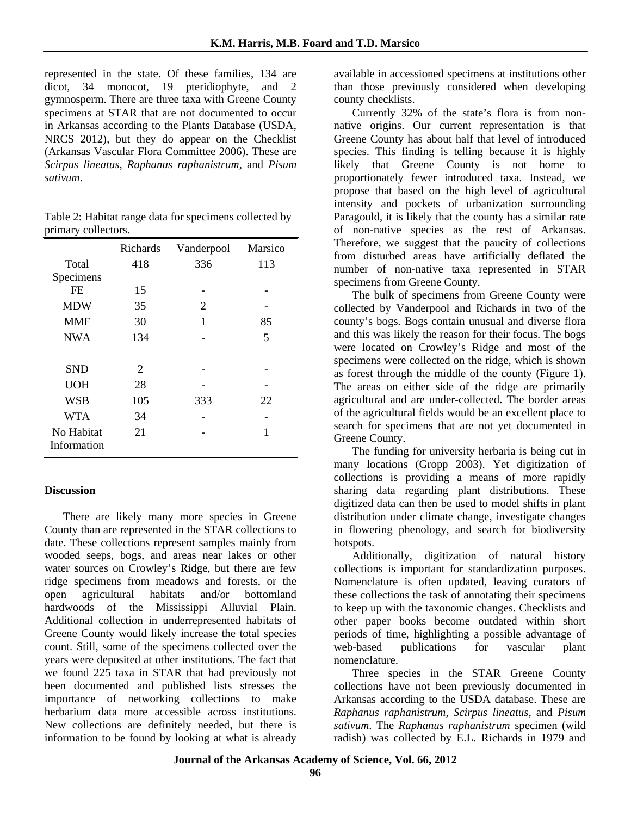represented in the state. Of these families, 134 are dicot, 34 monocot, 19 pteridiophyte, and 2 gymnosperm. There are three taxa with Greene County specimens at STAR that are not documented to occur in Arkansas according to the Plants Database (USDA, NRCS 2012), but they do appear on the Checklist (Arkansas Vascular Flora Committee 2006). These are *Scirpus lineatus*, *Raphanus raphanistrum*, and *Pisum sativum*.

| Table 2: Habitat range data for specimens collected by |  |
|--------------------------------------------------------|--|
| primary collectors.                                    |  |

|                           | Richards | Vanderpool | Marsico |
|---------------------------|----------|------------|---------|
| Total                     | 418      | 336        | 113     |
| Specimens                 |          |            |         |
| <b>FE</b>                 | 15       |            |         |
| <b>MDW</b>                | 35       | 2          |         |
| <b>MMF</b>                | 30       | 1          | 85      |
| <b>NWA</b>                | 134      |            | 5       |
|                           |          |            |         |
| <b>SND</b>                | 2        |            |         |
| <b>UOH</b>                | 28       |            |         |
| <b>WSB</b>                | 105      | 333        | 22      |
| <b>WTA</b>                | 34       |            |         |
| No Habitat<br>Information | 21       |            |         |

# **Discussion**

There are likely many more species in Greene County than are represented in the STAR collections to date. These collections represent samples mainly from wooded seeps, bogs, and areas near lakes or other water sources on Crowley's Ridge, but there are few ridge specimens from meadows and forests, or the open agricultural habitats and/or bottomland hardwoods of the Mississippi Alluvial Plain. Additional collection in underrepresented habitats of Greene County would likely increase the total species count. Still, some of the specimens collected over the years were deposited at other institutions. The fact that we found 225 taxa in STAR that had previously not been documented and published lists stresses the importance of networking collections to make herbarium data more accessible across institutions. New collections are definitely needed, but there is information to be found by looking at what is already

available in accessioned specimens at institutions other than those previously considered when developing county checklists.

Currently 32% of the state's flora is from nonnative origins. Our current representation is that Greene County has about half that level of introduced species. This finding is telling because it is highly likely that Greene County is not home to proportionately fewer introduced taxa. Instead, we propose that based on the high level of agricultural intensity and pockets of urbanization surrounding Paragould, it is likely that the county has a similar rate of non-native species as the rest of Arkansas. Therefore, we suggest that the paucity of collections from disturbed areas have artificially deflated the number of non-native taxa represented in STAR specimens from Greene County.

The bulk of specimens from Greene County were collected by Vanderpool and Richards in two of the county's bogs. Bogs contain unusual and diverse flora and this was likely the reason for their focus. The bogs were located on Crowley's Ridge and most of the specimens were collected on the ridge, which is shown as forest through the middle of the county (Figure 1). The areas on either side of the ridge are primarily agricultural and are under-collected. The border areas of the agricultural fields would be an excellent place to search for specimens that are not yet documented in Greene County.

The funding for university herbaria is being cut in many locations (Gropp 2003). Yet digitization of collections is providing a means of more rapidly sharing data regarding plant distributions. These digitized data can then be used to model shifts in plant distribution under climate change, investigate changes in flowering phenology, and search for biodiversity hotspots.

Additionally, digitization of natural history collections is important for standardization purposes. Nomenclature is often updated, leaving curators of these collections the task of annotating their specimens to keep up with the taxonomic changes. Checklists and other paper books become outdated within short periods of time, highlighting a possible advantage of web-based publications for vascular plant nomenclature.

Three species in the STAR Greene County collections have not been previously documented in Arkansas according to the USDA database. These are *Raphanus raphanistrum*, *Scirpus lineatus*, and *Pisum sativum*. The *Raphanus raphanistrum* specimen (wild radish) was collected by E.L. Richards in 1979 and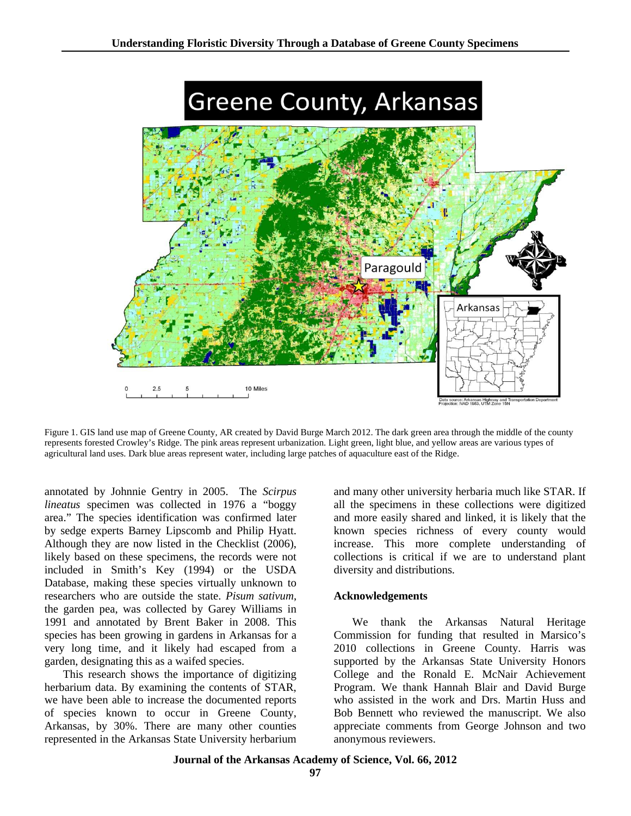

Figure 1. GIS land use map of Greene County, AR created by David Burge March 2012. The dark green area through the middle of the county represents forested Crowley's Ridge. The pink areas represent urbanization. Light green, light blue, and yellow areas are various types of agricultural land uses. Dark blue areas represent water, including large patches of aquaculture east of the Ridge.

annotated by Johnnie Gentry in 2005. The *Scirpus lineatus* specimen was collected in 1976 a "boggy area." The species identification was confirmed later by sedge experts Barney Lipscomb and Philip Hyatt. Although they are now listed in the Checklist (2006), likely based on these specimens, the records were not included in Smith's Key (1994) or the USDA Database, making these species virtually unknown to researchers who are outside the state. *Pisum sativum*, the garden pea, was collected by Garey Williams in 1991 and annotated by Brent Baker in 2008. This species has been growing in gardens in Arkansas for a very long time, and it likely had escaped from a garden, designating this as a waifed species.

This research shows the importance of digitizing herbarium data. By examining the contents of STAR, we have been able to increase the documented reports of species known to occur in Greene County, Arkansas, by 30%. There are many other counties represented in the Arkansas State University herbarium and many other university herbaria much like STAR. If all the specimens in these collections were digitized and more easily shared and linked, it is likely that the known species richness of every county would increase. This more complete understanding of collections is critical if we are to understand plant diversity and distributions.

### **Acknowledgements**

We thank the Arkansas Natural Heritage Commission for funding that resulted in Marsico's 2010 collections in Greene County. Harris was supported by the Arkansas State University Honors College and the Ronald E. McNair Achievement Program. We thank Hannah Blair and David Burge who assisted in the work and Drs. Martin Huss and Bob Bennett who reviewed the manuscript. We also appreciate comments from George Johnson and two anonymous reviewers.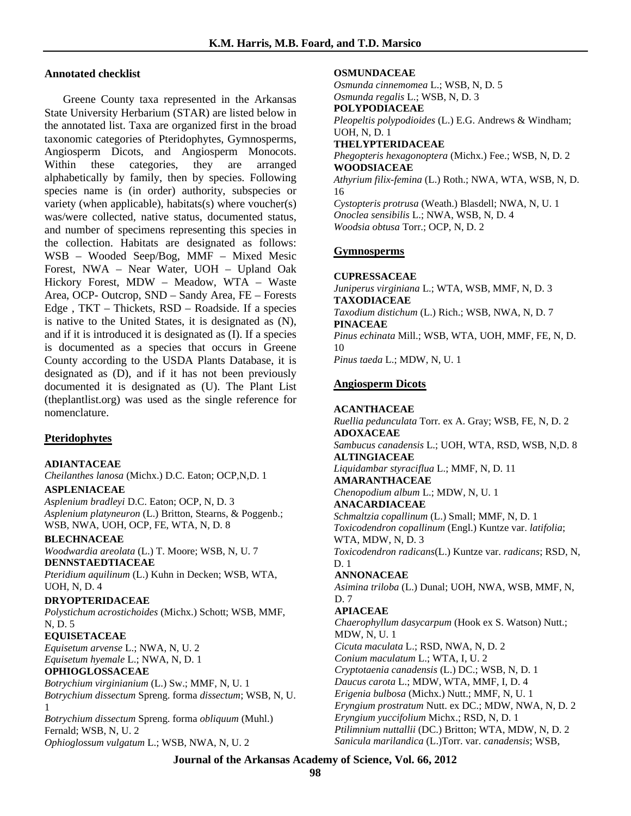### **Annotated checklist**

Greene County taxa represented in the Arkansas State University Herbarium (STAR) are listed below in the annotated list. Taxa are organized first in the broad taxonomic categories of Pteridophytes, Gymnosperms, Angiosperm Dicots, and Angiosperm Monocots. Within these categories, they are arranged alphabetically by family, then by species. Following species name is (in order) authority, subspecies or variety (when applicable), habitats(s) where voucher(s) was/were collected, native status, documented status, and number of specimens representing this species in the collection. Habitats are designated as follows: WSB – Wooded Seep/Bog, MMF – Mixed Mesic Forest, NWA – Near Water, UOH – Upland Oak Hickory Forest, MDW – Meadow, WTA – Waste Area, OCP- Outcrop, SND – Sandy Area, FE – Forests Edge , TKT – Thickets, RSD – Roadside. If a species is native to the United States, it is designated as (N), and if it is introduced it is designated as (I). If a species is documented as a species that occurs in Greene County according to the USDA Plants Database, it is designated as (D), and if it has not been previously documented it is designated as (U). The Plant List (theplantlist.org) was used as the single reference for nomenclature.

### **Pteridophytes**

### **ADIANTACEAE**

*Cheilanthes lanosa* (Michx.) D.C. Eaton; OCP,N,D. 1

### **ASPLENIACEAE**

*Asplenium bradleyi* D.C. Eaton; OCP, N, D. 3 *Asplenium platyneuron* (L.) Britton, Stearns, & Poggenb.; WSB, NWA, UOH, OCP, FE, WTA, N, D. 8

### **BLECHNACEAE**

*Woodwardia areolata* (L.) T. Moore; WSB, N, U. 7 **DENNSTAEDTIACEAE**

*Pteridium aquilinum* (L.) Kuhn in Decken; WSB, WTA, UOH, N, D. 4

### **DRYOPTERIDACEAE**

*Polystichum acrostichoides* (Michx.) Schott; WSB, MMF, N, D. 5

### **EQUISETACEAE**

*Equisetum arvense* L.; NWA, N, U. 2 *Equisetum hyemale* L.; NWA, N, D. 1

### **OPHIOGLOSSACEAE**

*Botrychium virginianium* (L.) Sw.; MMF, N, U. 1 *Botrychium dissectum* Spreng. forma *dissectum*; WSB, N, U. 1 *Botrychium dissectum* Spreng. forma *obliquum* (Muhl.)

Fernald; WSB, N, U. 2 *Ophioglossum vulgatum* L.; WSB, NWA, N, U. 2

#### **OSMUNDACEAE**

*Osmunda cinnemomea* L.; WSB, N, D. 5 *Osmunda regalis* L.; WSB, N, D. 3

# **POLYPODIACEAE**

*Pleopeltis polypodioides* (L.) E.G. Andrews & Windham; UOH, N, D. 1

#### **THELYPTERIDACEAE**

*Phegopteris hexagonoptera* (Michx.) Fee.; WSB, N, D. 2 **WOODSIACEAE**

*Athyrium filix-femina* (L.) Roth.; NWA, WTA, WSB, N, D. 16

*Cystopteris protrusa* (Weath.) Blasdell; NWA, N, U. 1 *Onoclea sensibilis* L.; NWA, WSB, N, D. 4 *Woodsia obtusa* Torr.; OCP, N, D. 2

### **Gymnosperms**

### **CUPRESSACEAE**

*Juniperus virginiana* L.; WTA, WSB, MMF, N, D. 3 **TAXODIACEAE** *Taxodium distichum* (L.) Rich.; WSB, NWA, N, D. 7 **PINACEAE** *Pinus echinata* Mill.; WSB, WTA, UOH, MMF, FE, N, D. 10

*Pinus taeda* L.; MDW, N, U. 1

### **Angiosperm Dicots**

#### **ACANTHACEAE**

*Ruellia pedunculata* Torr. ex A. Gray; WSB, FE, N, D. 2 **ADOXACEAE** *Sambucus canadensis* L.; UOH, WTA, RSD, WSB, N,D. 8 **ALTINGIACEAE** *Liquidambar styraciflua* L.; MMF, N, D. 11 **AMARANTHACEAE** *Chenopodium album* L.; MDW, N, U. 1 **ANACARDIACEAE** *Schmaltzia copallinum* (L.) Small; MMF, N, D. 1 *Toxicodendron copallinum* (Engl.) Kuntze var. *latifolia*; WTA, MDW, N, D. 3 *Toxicodendron radicans*(L.) Kuntze var. *radicans*; RSD, N, D. 1 **ANNONACEAE** *Asimina triloba* (L.) Dunal; UOH, NWA, WSB, MMF, N, D. 7 **APIACEAE** *Chaerophyllum dasycarpum* (Hook ex S. Watson) Nutt.; MDW, N, U. 1 *Cicuta maculata* L.; RSD, NWA, N, D. 2 *Conium maculatum* L.; WTA, I, U. 2 *Cryptotaenia canadensis* (L.) DC.; WSB, N, D. 1 *Daucus carota* L.; MDW, WTA, MMF, I, D. 4 *Erigenia bulbosa* (Michx.) Nutt.; MMF, N, U. 1 *Eryngium prostratum* Nutt. ex DC.; MDW, NWA, N, D. 2 *Eryngium yuccifolium* Michx.; RSD, N, D. 1 *Ptilimnium nuttallii* (DC.) Britton; WTA, MDW, N, D. 2 *Sanicula marilandica* (L.)Torr. var. *canadensis*; WSB,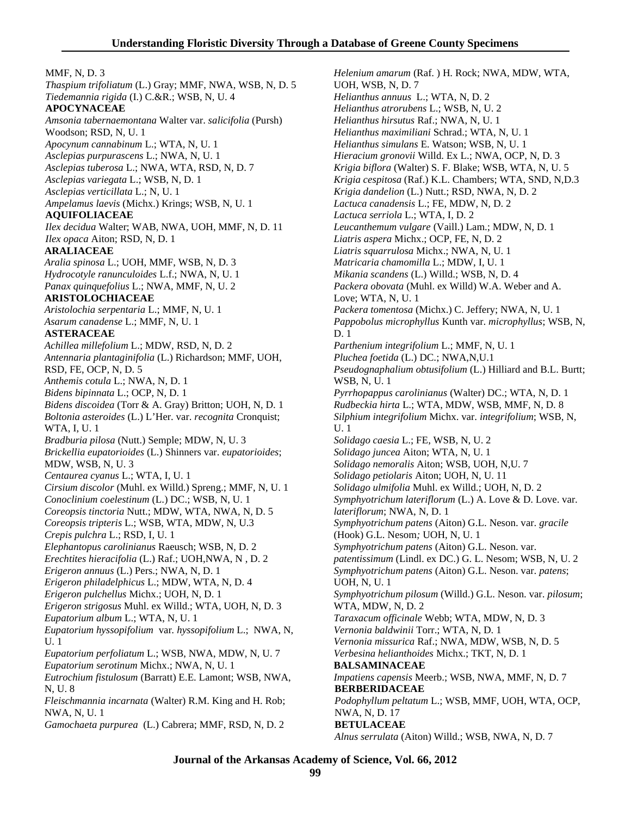MMF, N, D. 3 *Thaspium trifoliatum* (L.) Gray; MMF, NWA, WSB, N, D. 5 *Tiedemannia rigida* (I.) C.&R.; WSB, N, U. 4 **APOCYNACEAE** *Amsonia tabernaemontana* Walter var. *salicifolia* (Pursh) Woodson; RSD, N, U. 1 *Apocynum cannabinum* L.; WTA, N, U. 1 *Asclepias purpurascens* L.; NWA, N, U. 1 *Asclepias tuberosa* L.; NWA, WTA, RSD, N, D. 7 *Asclepias variegata* L.; WSB, N, D. 1 *Asclepias verticillata* L.; N, U. 1 *Ampelamus laevis* (Michx.) Krings; WSB, N, U. 1 **AQUIFOLIACEAE** *Ilex decidua* Walter; WAB, NWA, UOH, MMF, N, D. 11 *Ilex opaca* Aiton; RSD, N, D. 1 **ARALIACEAE** *Aralia spinosa* L.; UOH, MMF, WSB, N, D. 3 *Hydrocotyle ranunculoides* L.f.; NWA, N, U. 1 *Panax quinquefolius* L.; NWA, MMF, N, U. 2 **ARISTOLOCHIACEAE** *Aristolochia serpentaria* L.; MMF, N, U. 1 *Asarum canadense* L.; MMF, N, U. 1 **ASTERACEAE** *Achillea millefolium* L.; MDW, RSD, N, D. 2 *Antennaria plantaginifolia* (L.) Richardson; MMF, UOH, RSD, FE, OCP, N, D. 5 *Anthemis cotula* L.; NWA, N, D. 1 *Bidens bipinnata* L.; OCP, N, D. 1 *Bidens discoidea* (Torr & A. Gray) Britton; UOH, N, D. 1 *Boltonia asteroides* (L.) L'Her. var. *recognita* Cronquist; WTA, I, U. 1 *Bradburia pilosa* (Nutt.) Semple; MDW, N, U. 3 *Brickellia eupatorioides* (L.) Shinners var. *eupatorioides*; MDW, WSB, N, U. 3 *Centaurea cyanus* L.; WTA, I, U. 1 *Cirsium discolor* (Muhl. ex Willd.) Spreng.; MMF, N, U. 1 *Conoclinium coelestinum* (L.) DC.; WSB, N, U. 1 *Coreopsis tinctoria* Nutt.; MDW, WTA, NWA, N, D. 5 *Coreopsis tripteris* L.; WSB, WTA, MDW, N, U.3 *Crepis pulchra* L.; RSD, I, U. 1 *Elephantopus carolinianus* Raeusch; WSB, N, D. 2 *Erechtites hieracifolia* (L.) Raf.; UOH,NWA, N , D. 2 *Erigeron annuus* (L.) Pers.; NWA, N, D. 1 *Erigeron philadelphicus* L.; MDW, WTA, N, D. 4 *Erigeron pulchellus* Michx.; UOH, N, D. 1 *Erigeron strigosus* Muhl. ex Willd.; WTA, UOH, N, D. 3 *Eupatorium album* L.; WTA, N, U. 1 *Eupatorium hyssopifolium* var*. hyssopifolium* L.; NWA, N, U. 1 *Eupatorium perfoliatum* L.; WSB, NWA, MDW, N, U. 7 *Eupatorium serotinum* Michx.; NWA, N, U. 1 *Eutrochium fistulosum* (Barratt) E.E. Lamont; WSB, NWA, N, U. 8 *Fleischmannia incarnata* (Walter) R.M. King and H. Rob; NWA, N, U. 1 *Gamochaeta purpurea* (L.) Cabrera; MMF, RSD, N, D. 2

*Helenium amarum* (Raf. ) H. Rock; NWA, MDW, WTA, UOH, WSB, N, D. 7 *Helianthus annuus* L.; WTA, N, D. 2 *Helianthus atrorubens* L.; WSB, N, U. 2 *Helianthus hirsutus* Raf.; NWA, N, U. 1 *Helianthus maximiliani* Schrad.; WTA, N, U. 1 *Helianthus simulans* E. Watson; WSB, N, U. 1 *Hieracium gronovii* Willd. Ex L.; NWA, OCP, N, D. 3 *Krigia biflora* (Walter) S. F. Blake; WSB, WTA, N, U. 5 *Krigia cespitosa* (Raf.) K.L. Chambers; WTA, SND, N,D.3 *Krigia dandelion* (L.) Nutt.; RSD, NWA, N, D. 2 *Lactuca canadensis* L.; FE, MDW, N, D. 2 *Lactuca serriola* L.; WTA, I, D. 2 *Leucanthemum vulgare* (Vaill.) Lam.; MDW, N, D. 1 *Liatris aspera* Michx.; OCP, FE, N, D. 2 *Liatris squarrulosa* Michx.; NWA, N, U. 1 *Matricaria chamomilla* L.; MDW, I, U. 1 *Mikania scandens* (L.) Willd.; WSB, N, D. 4 *Packera obovata* (Muhl. ex Willd) W.A. Weber and A. Love; WTA, N, U. 1 *Packera tomentosa* (Michx.) C. Jeffery; NWA, N, U. 1 *Pappobolus microphyllus* Kunth var. *microphyllus*; WSB, N, D. 1 *Parthenium integrifolium* L.; MMF, N, U. 1 *Pluchea foetida* (L.) DC.; NWA,N,U.1 *Pseudognaphalium obtusifolium* (L.) Hilliard and B.L. Burtt; WSB, N, U. 1 *Pyrrhopappus carolinianus* (Walter) DC.; WTA, N, D. 1 *Rudbeckia hirta* L.; WTA, MDW, WSB, MMF, N, D. 8 *Silphium integrifolium* Michx. var. *integrifolium*; WSB, N, U. 1 *Solidago caesia* L.; FE, WSB, N, U. 2 *Solidago juncea* Aiton; WTA, N, U. 1 *Solidago nemoralis* Aiton; WSB, UOH, N,U. 7 *Solidago petiolaris* Aiton; UOH, N, U. 11 *Solidago ulmifolia* Muhl. ex Willd.; UOH, N, D. 2 *Symphyotrichum lateriflorum* (L.) A. Love & D. Love. var. *lateriflorum*; NWA, N, D. 1 *Symphyotrichum patens* (Aiton) G.L. Neson. var. *gracile* (Hook) G.L. Nesom*;* UOH, N, U. 1 *Symphyotrichum patens* (Aiton) G.L. Neson. var. *patentissimum* (Lindl. ex DC.) G. L. Nesom; WSB, N, U. 2 *Symphyotrichum patens* (Aiton) G.L. Neson. var. *patens*; UOH, N, U. 1 *Symphyotrichum pilosum* (Willd.) G.L. Neson. var. *pilosum*; WTA, MDW, N, D. 2 *Taraxacum officinale* Webb; WTA, MDW, N, D. 3 *Vernonia baldwinii* Torr.; WTA, N, D. 1 *Vernonia missurica* Raf.; NWA, MDW, WSB, N, D. 5 *Verbesina helianthoides* Michx.; TKT, N, D. 1 **BALSAMINACEAE** *Impatiens capensis* Meerb.; WSB, NWA, MMF, N, D. 7 **BERBERIDACEAE** *Podophyllum peltatum* L.; WSB, MMF, UOH, WTA, OCP, NWA, N, D. 17 **BETULACEAE** *Alnus serrulata* (Aiton) Willd.; WSB, NWA, N, D. 7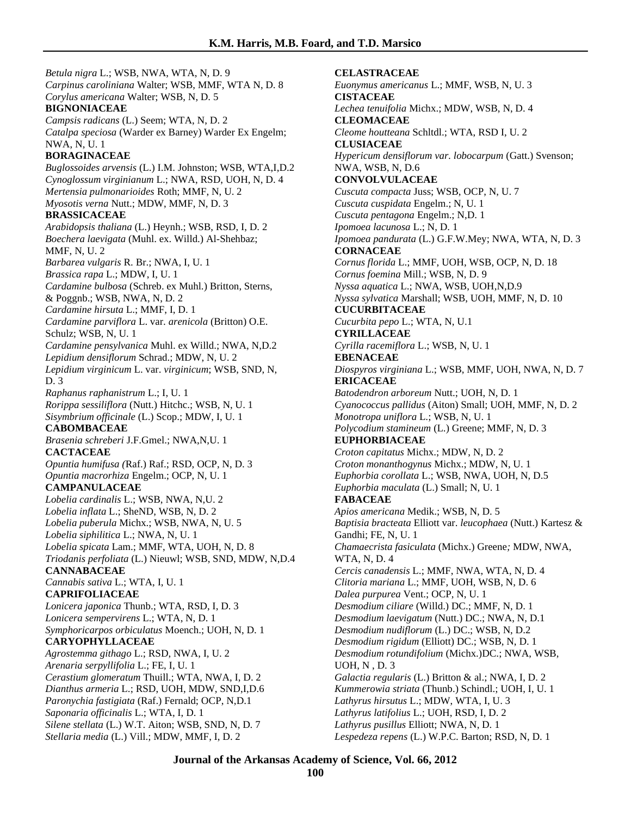*Betula nigra* L.; WSB, NWA, WTA, N, D. 9 *Carpinus caroliniana* Walter; WSB, MMF, WTA N, D. 8 *Corylus americana* Walter; WSB, N, D. 5 **BIGNONIACEAE** *Campsis radicans* (L.) Seem; WTA, N, D. 2 *Catalpa speciosa* (Warder ex Barney) Warder Ex Engelm; NWA, N, U. 1 **BORAGINACEAE** *Buglossoides arvensis* (L.) I.M. Johnston; WSB, WTA,I,D.2 *Cynoglossum virginianum* L.; NWA, RSD, UOH, N, D. 4 *Mertensia pulmonarioides* Roth; MMF, N, U. 2 *Myosotis verna* Nutt.; MDW, MMF, N, D. 3 **BRASSICACEAE** *Arabidopsis thaliana* (L.) Heynh.; WSB, RSD, I, D. 2 *Boechera laevigata* (Muhl. ex. Willd.) Al-Shehbaz; MMF, N, U. 2 *Barbarea vulgaris* R. Br.; NWA, I, U. 1 *Brassica rapa* L.; MDW, I, U. 1 *Cardamine bulbosa* (Schreb. ex Muhl.) Britton, Sterns, & Poggnb.; WSB, NWA, N, D. 2 *Cardamine hirsuta* L.; MMF, I, D. 1 *Cardamine parviflora* L. var. *arenicola* (Britton) O.E. Schulz; WSB, N, U. 1 *Cardamine pensylvanica* Muhl. ex Willd.; NWA, N,D.2 *Lepidium densiflorum* Schrad.; MDW, N, U. 2 *Lepidium virginicum* L. var. *virginicum*; WSB, SND, N, D. 3 *Raphanus raphanistrum* L.; I, U. 1 *Rorippa sessiliflora* (Nutt.) Hitchc.; WSB, N, U. 1 *Sisymbrium officinale* (L.) Scop.; MDW, I, U. 1 **CABOMBACEAE** *Brasenia schreberi* J.F.Gmel.; NWA,N,U. 1 **CACTACEAE** *Opuntia humifusa (*Raf.) Raf.; RSD, OCP, N, D. 3 *Opuntia macrorhiza* Engelm.; OCP, N, U. 1 **CAMPANULACEAE** *Lobelia cardinalis* L.; WSB, NWA, N,U. 2 *Lobelia inflata* L.; SheND, WSB, N, D. 2 *Lobelia puberula* Michx.; WSB, NWA, N, U. 5 *Lobelia siphilitica* L.; NWA, N, U. 1 *Lobelia spicata* Lam.; MMF, WTA, UOH, N, D. 8 *Triodanis perfoliata* (L.) Nieuwl; WSB, SND, MDW, N,D.4 **CANNABACEAE** *Cannabis sativa* L.; WTA, I, U. 1 **CAPRIFOLIACEAE** *Lonicera japonica* Thunb.; WTA, RSD, I, D. 3 *Lonicera sempervirens* L.; WTA, N, D. 1 *Symphoricarpos orbiculatus* Moench.; UOH, N, D. 1 **CARYOPHYLLACEAE** *Agrostemma githago* L.; RSD, NWA, I, U. 2 *Arenaria serpyllifolia* L.; FE, I, U. 1 *Cerastium glomeratum* Thuill.; WTA, NWA, I, D. 2 *Dianthus armeria* L.; RSD, UOH, MDW, SND,I,D.6 *Paronychia fastigiata* (Raf.) Fernald; OCP, N,D.1 *Saponaria officinalis* L.; WTA, I, D. 1 *Silene stellata* (L.) W.T. Aiton; WSB, SND, N, D. 7 *Stellaria media* (L.) Vill.; MDW, MMF, I, D. 2

**CELASTRACEAE** *Euonymus americanus* L.; MMF, WSB, N, U. 3 **CISTACEAE** *Lechea tenuifolia* Michx.; MDW, WSB, N, D. 4 **CLEOMACEAE** *Cleome houtteana* Schltdl.; WTA, RSD I, U. 2 **CLUSIACEAE** *Hypericum densiflorum var. lobocarpum* (Gatt.) Svenson; NWA, WSB, N, D.6 **CONVOLVULACEAE** *Cuscuta compacta* Juss; WSB, OCP, N, U. 7 *Cuscuta cuspidata* Engelm.; N, U. 1 *Cuscuta pentagona* Engelm.; N,D. 1 *Ipomoea lacunosa* L.; N, D. 1 *Ipomoea pandurata* (L.) G.F.W.Mey; NWA, WTA, N, D. 3 **CORNACEAE** *Cornus florida* L.; MMF, UOH, WSB, OCP, N, D. 18 *Cornus foemina* Mill.; WSB, N, D. 9 *Nyssa aquatica* L.; NWA, WSB, UOH,N,D.9 *Nyssa sylvatica* Marshall; WSB, UOH, MMF, N, D. 10 **CUCURBITACEAE** *Cucurbita pepo* L.; WTA, N, U.1 **CYRILLACEAE** *Cyrilla racemiflora* L.; WSB, N, U. 1 **EBENACEAE** *Diospyros virginiana* L.; WSB, MMF, UOH, NWA, N, D. 7 **ERICACEAE** *Batodendron arboreum* Nutt.; UOH, N, D. 1 *Cyanococcus pallidus* (Aiton) Small; UOH, MMF, N, D. 2 *Monotropa uniflora* L.; WSB, N, U. 1 *Polycodium stamineum* (L.) Greene; MMF, N, D. 3 **EUPHORBIACEAE** *Croton capitatus* Michx.; MDW, N, D. 2 *Croton monanthogynus* Michx.; MDW, N, U. 1 *Euphorbia corollata* L.; WSB, NWA, UOH, N, D.5 *Euphorbia maculata* (L.) Small; N, U. 1 **FABACEAE** *Apios americana* Medik.; WSB, N, D. 5 *Baptisia bracteata* Elliott var. *leucophaea* (Nutt.) Kartesz & Gandhi; FE, N, U. 1 *Chamaecrista fasiculata* (Michx.) Greene*;* MDW, NWA, WTA, N, D. 4 *Cercis canadensis* L.; MMF, NWA, WTA, N, D. 4 *Clitoria mariana* L.; MMF, UOH, WSB, N, D. 6 *Dalea purpurea* Vent.; OCP, N, U. 1 *Desmodium ciliare* (Willd.) DC.; MMF, N, D. 1 *Desmodium laevigatum* (Nutt.) DC.; NWA, N, D.1 *Desmodium nudiflorum* (L.) DC.; WSB, N, D.2 *Desmodium rigidum* (Elliott) DC.; WSB, N, D. 1 *Desmodium rotundifolium* (Michx.)DC.; NWA, WSB, UOH, N , D. 3 *Galactia regularis* (L.) Britton & al.; NWA, I, D. 2 *Kummerowia striata* (Thunb.) Schindl.; UOH, I, U. 1 *Lathyrus hirsutus* L.; MDW, WTA, I, U. 3 *Lathyrus latifolius* L.; UOH, RSD, I, D. 2 *Lathyrus pusillus* Elliott; NWA, N, D. 1 *Lespedeza repens* (L.) W.P.C. Barton; RSD, N, D. 1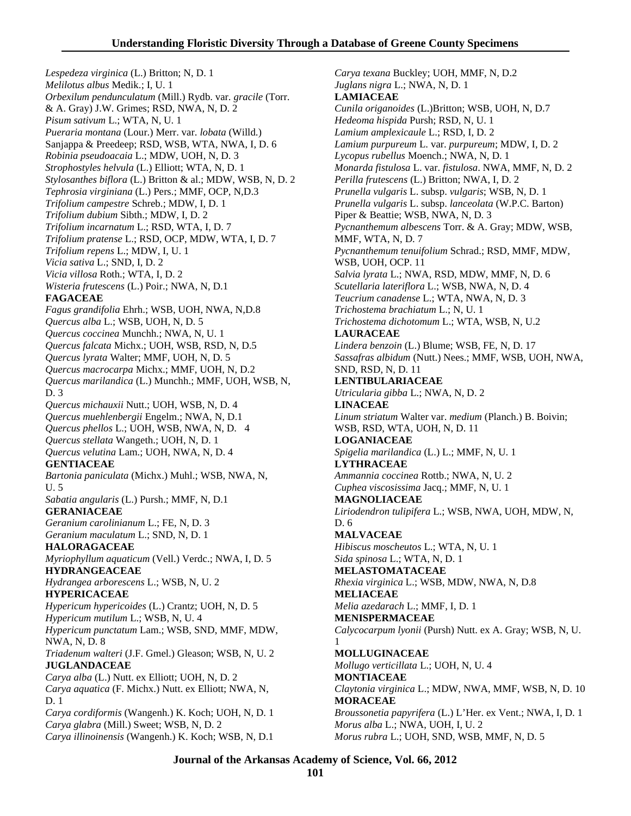*Lespedeza virginica* (L.) Britton; N, D. 1 *Melilotus albus* Medik.; I, U. 1 *Orbexilum pendunculatum* (Mill.) Rydb. var. *gracile* (Torr. & A. Gray) J.W. Grimes; RSD, NWA, N, D. 2 *Pisum sativum* L.; WTA, N, U. 1 *Pueraria montana* (Lour.) Merr. var. *lobata* (Willd.) Sanjappa & Preedeep; RSD, WSB, WTA, NWA, I, D. 6 *Robinia pseudoacaia* L.; MDW, UOH, N, D. 3 *Strophostyles helvula* (L.) Elliott; WTA, N, D. 1 *Stylosanthes biflora* (L.) Britton & al.; MDW, WSB, N, D. 2 *Tephrosia virginiana* (L.) Pers.; MMF, OCP, N,D.3 *Trifolium campestre* Schreb.; MDW, I, D. 1 *Trifolium dubium* Sibth.; MDW, I, D. 2 *Trifolium incarnatum* L.; RSD, WTA, I, D. 7 *Trifolium pratense* L.; RSD, OCP, MDW, WTA, I, D. 7 *Trifolium repens* L.; MDW, I, U. 1 *Vicia sativa* L.; SND, I, D. 2 *Vicia villosa* Roth.; WTA, I, D. 2 *Wisteria frutescens* (L.) Poir.; NWA, N, D.1 **FAGACEAE** *Fagus grandifolia* Ehrh.; WSB, UOH, NWA, N,D.8 *Quercus alba* L.; WSB, UOH, N, D. 5 *Quercus coccinea* Munchh.; NWA, N, U. 1 *Quercus falcata* Michx.; UOH, WSB, RSD, N, D.5 *Quercus lyrata* Walter; MMF, UOH, N, D. 5 *Quercus macrocarpa* Michx.; MMF, UOH, N, D.2 *Quercus marilandica* (L.) Munchh.; MMF, UOH, WSB, N, D. 3 *Quercus michauxii* Nutt.; UOH, WSB, N, D. 4 *Quercus muehlenbergii* Engelm.; NWA, N, D.1 *Quercus phellos* L.; UOH, WSB, NWA, N, D. 4 *Quercus stellata* Wangeth.; UOH, N, D. 1 *Quercus velutina* Lam.; UOH, NWA, N, D. 4 **GENTIACEAE** *Bartonia paniculata* (Michx.) Muhl.; WSB, NWA, N, U. 5 *Sabatia angularis* (L.) Pursh.; MMF, N, D.1 **GERANIACEAE** *Geranium carolinianum* L.; FE, N, D. 3 *Geranium maculatum* L.; SND, N, D. 1 **HALORAGACEAE** *Myriophyllum aquaticum* (Vell.) Verdc.; NWA, I, D. 5 **HYDRANGEACEAE** *Hydrangea arborescens* L.; WSB, N, U. 2 **HYPERICACEAE** *Hypericum hypericoides* (L.) Crantz; UOH, N, D. 5 *Hypericum mutilum* L.; WSB, N, U. 4 *Hypericum punctatum* Lam.; WSB, SND, MMF, MDW, NWA, N, D. 8 *Triadenum walteri* (J.F. Gmel.) Gleason; WSB, N, U. 2 **JUGLANDACEAE** *Carya alba* (L.) Nutt. ex Elliott; UOH, N, D. 2 *Carya aquatica* (F. Michx.) Nutt. ex Elliott; NWA, N, D. 1 *Carya cordiformis* (Wangenh.) K. Koch; UOH, N, D. 1 *Carya glabra* (Mill.) Sweet; WSB, N, D. 2 *Carya illinoinensis* (Wangenh.) K. Koch; WSB, N, D.1

*Carya texana* Buckley; UOH, MMF, N, D.2 *Juglans nigra* L.; NWA, N, D. 1 **LAMIACEAE** *Cunila origanoides* (L.)Britton; WSB, UOH, N, D.7 *Hedeoma hispida* Pursh; RSD, N, U. 1 *Lamium amplexicaule* L.; RSD, I, D. 2 *Lamium purpureum* L. var. *purpureum*; MDW, I, D. 2 *Lycopus rubellus* Moench.; NWA, N, D. 1 *Monarda fistulosa* L. var. *fistulosa*. NWA, MMF, N, D. 2 *Perilla frutescens* (L.) Britton; NWA, I, D. 2 *Prunella vulgaris* L. subsp. *vulgaris*; WSB, N, D. 1 *Prunella vulgaris* L. subsp. *lanceolata* (W.P.C. Barton) Piper & Beattie; WSB, NWA, N, D. 3 *Pycnanthemum albescens* Torr. & A. Gray; MDW, WSB, MMF, WTA, N, D. 7 *Pycnanthemum tenuifolium* Schrad.; RSD, MMF, MDW, WSB, UOH, OCP. 11 *Salvia lyrata* L.; NWA, RSD, MDW, MMF, N, D. 6 *Scutellaria lateriflora* L.; WSB, NWA, N, D. 4 *Teucrium canadense* L.; WTA, NWA, N, D. 3 *Trichostema brachiatum* L.; N, U. 1 *Trichostema dichotomum* L.; WTA, WSB, N, U.2 **LAURACEAE** *Lindera benzoin* (L.) Blume; WSB, FE, N, D. 17 *Sassafras albidum* (Nutt.) Nees.; MMF, WSB, UOH, NWA, SND, RSD, N, D. 11 **LENTIBULARIACEAE** *Utricularia gibba* L.; NWA, N, D. 2 **LINACEAE** *Linum striatum* Walter var. *medium* (Planch.) B. Boivin; WSB, RSD, WTA, UOH, N, D. 11 **LOGANIACEAE** *Spigelia marilandica* (L.) L.; MMF, N, U. 1 **LYTHRACEAE** *Ammannia coccinea* Rottb.; NWA, N, U. 2 *Cuphea viscosissima* Jacq.; MMF, N, U. 1 **MAGNOLIACEAE** *Liriodendron tulipifera* L.; WSB, NWA, UOH, MDW, N, D. 6 **MALVACEAE** *Hibiscus moscheutos* L.; WTA, N, U. 1 *Sida spinosa* L.; WTA, N, D. 1 **MELASTOMATACEAE** *Rhexia virginica* L.; WSB, MDW, NWA, N, D.8 **MELIACEAE** *Melia azedarach* L.; MMF, I, D. 1 **MENISPERMACEAE** *Calycocarpum lyonii* (Pursh) Nutt. ex A. Gray; WSB, N, U. 1 **MOLLUGINACEAE** *Mollugo verticillata* L.; UOH, N, U. 4 **MONTIACEAE** *Claytonia virginica* L.; MDW, NWA, MMF, WSB, N, D. 10 **MORACEAE** *Broussonetia papyrifera* (L.) L'Her. ex Vent.; NWA, I, D. 1 *Morus alba* L.; NWA, UOH, I, U. 2 *Morus rubra* L.; UOH, SND, WSB, MMF, N, D. 5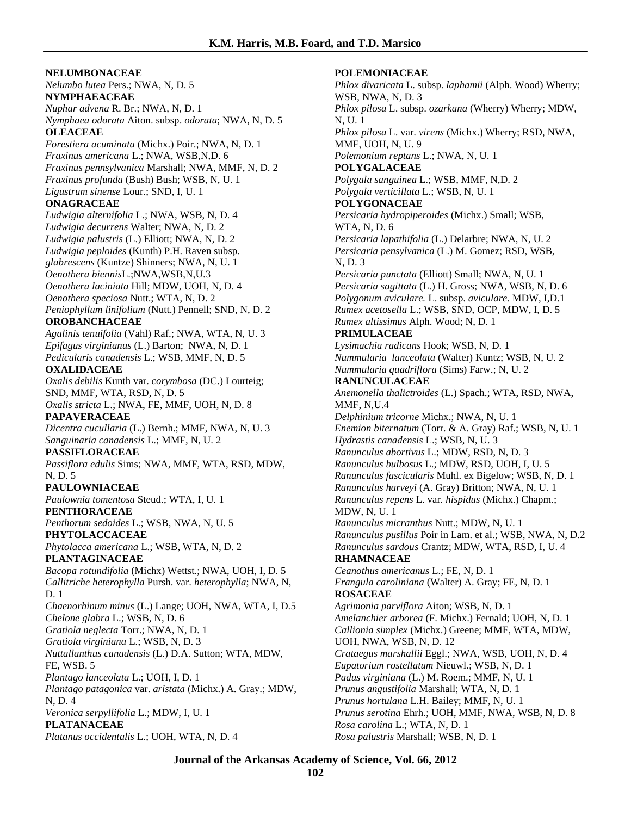**NELUMBONACEAE** *Nelumbo lutea* Pers.; NWA, N, D. 5 **NYMPHAEACEAE** *Nuphar advena* R. Br.; NWA, N, D. 1 *Nymphaea odorata* Aiton. subsp. *odorata*; NWA, N, D. 5 **OLEACEAE** *Forestiera acuminata* (Michx.) Poir.; NWA, N, D. 1 *Fraxinus americana* L.; NWA, WSB,N,D. 6 *Fraxinus pennsylvanica* Marshall; NWA, MMF, N, D. 2 *Fraxinus profunda* (Bush) Bush; WSB, N, U. 1 *Ligustrum sinense* Lour.; SND, I, U. 1 **ONAGRACEAE** *Ludwigia alternifolia* L.; NWA, WSB, N, D. 4 *Ludwigia decurrens* Walter; NWA, N, D. 2 *Ludwigia palustris* (L.) Elliott; NWA, N, D. 2 *Ludwigia peploides* (Kunth) P.H. Raven subsp. *glabrescens* (Kuntze) Shinners; NWA, N, U. 1 *Oenothera biennis*L.;NWA,WSB,N,U.3 *Oenothera laciniata* Hill; MDW, UOH, N, D. 4 *Oenothera speciosa* Nutt.; WTA, N, D. 2 *Peniophyllum linifolium* (Nutt.) Pennell; SND, N, D. 2 **OROBANCHACEAE** *Agalinis tenuifolia* (Vahl) Raf.; NWA, WTA, N, U. 3 *Epifagus virginianus* (L.) Barton; NWA, N, D. 1 *Pedicularis canadensis* L.; WSB, MMF, N, D. 5 **OXALIDACEAE** *Oxalis debilis* Kunth var. *corymbosa* (DC.) Lourteig; SND, MMF, WTA, RSD, N, D. 5 *Oxalis stricta* L.; NWA, FE, MMF, UOH, N, D. 8 **PAPAVERACEAE** *Dicentra cucullaria* (L.) Bernh.; MMF, NWA, N, U. 3 *Sanguinaria canadensis* L.; MMF, N, U. 2 **PASSIFLORACEAE** *Passiflora edulis* Sims; NWA, MMF, WTA, RSD, MDW, N, D. 5 **PAULOWNIACEAE** *Paulownia tomentosa* Steud.; WTA, I, U. 1 **PENTHORACEAE** *Penthorum sedoides* L.; WSB, NWA, N, U. 5 **PHYTOLACCACEAE** *Phytolacca americana* L.; WSB, WTA, N, D. 2 **PLANTAGINACEAE** *Bacopa rotundifolia* (Michx) Wettst.; NWA, UOH, I, D. 5 *Callitriche heterophylla* Pursh. var. *heterophylla*; NWA, N, D. 1 *Chaenorhinum minus* (L.) Lange; UOH, NWA, WTA, I, D.5 *Chelone glabra* L.; WSB, N, D. 6 *Gratiola neglecta* Torr.; NWA, N, D. 1 *Gratiola virginiana* L.; WSB, N, D. 3 *Nuttallanthus canadensis* (L.) D.A. Sutton; WTA, MDW, FE, WSB. 5 *Plantago lanceolata* L.; UOH, I, D. 1 *Plantago patagonica* var. *aristata* (Michx.) A. Gray.; MDW, N, D. 4 *Veronica serpyllifolia* L.; MDW, I, U. 1 **PLATANACEAE** *Platanus occidentalis* L.; UOH, WTA, N, D. 4

### **POLEMONIACEAE**

*Phlox divaricata* L. subsp. *laphamii* (Alph. Wood) Wherry; WSB, NWA, N, D. 3 *Phlox pilosa* L. subsp. *ozarkana* (Wherry) Wherry; MDW, N, U. 1 *Phlox pilosa* L. var. *virens* (Michx.) Wherry; RSD, NWA, MMF, UOH, N, U. 9 *Polemonium reptans* L.; NWA, N, U. 1 **POLYGALACEAE** *Polygala sanguinea* L.; WSB, MMF, N,D. 2 *Polygala verticillata* L.; WSB, N, U. 1 **POLYGONACEAE** *Persicaria hydropiperoides* (Michx.) Small; WSB, WTA, N, D. 6 *Persicaria lapathifolia* (L.) Delarbre; NWA, N, U. 2 *Persicaria pensylvanica* (L.) M. Gomez; RSD, WSB, N, D. 3 *Persicaria punctata* (Elliott) Small; NWA, N, U. 1 *Persicaria sagittata* (L.) H. Gross; NWA, WSB, N, D. 6 *Polygonum aviculare.* L. subsp. *aviculare*. MDW, I,D.1 *Rumex acetosella* L.; WSB, SND, OCP, MDW, I, D. 5 *Rumex altissimus* Alph. Wood; N, D. 1 **PRIMULACEAE** *Lysimachia radicans* Hook; WSB, N, D. 1 *Nummularia lanceolata* (Walter) Kuntz; WSB, N, U. 2 *Nummularia quadriflora* (Sims) Farw.; N, U. 2 **RANUNCULACEAE** *Anemonella thalictroides* (L.) Spach.; WTA, RSD, NWA, MMF, N,U.4 *Delphinium tricorne* Michx.; NWA, N, U. 1 *Enemion biternatum* (Torr. & A. Gray) Raf.; WSB, N, U. 1 *Hydrastis canadensis* L.; WSB, N, U. 3 *Ranunculus abortivus* L.; MDW, RSD, N, D. 3 *Ranunculus bulbosus* L.; MDW, RSD, UOH, I, U. 5 *Ranunculus fascicularis* Muhl. ex Bigelow; WSB, N, D. 1 *Ranunculus harveyi* (A. Gray) Britton; NWA, N, U. 1 *Ranunculus repens* L. var*. hispidus* (Michx.) Chapm.; MDW, N, U. 1 *Ranunculus micranthus* Nutt.; MDW, N, U. 1 *Ranunculus pusillus* Poir in Lam. et al.; WSB, NWA, N, D.2 *Ranunculus sardous* Crantz; MDW, WTA, RSD, I, U. 4 **RHAMNACEAE** *Ceanothus americanus* L.; FE, N, D. 1 *Frangula caroliniana* (Walter) A. Gray; FE, N, D. 1 **ROSACEAE** *Agrimonia parviflora* Aiton; WSB, N, D. 1 *Amelanchier arborea* (F. Michx.) Fernald; UOH, N, D. 1 *Callionia simplex* (Michx.) Greene; MMF, WTA, MDW, UOH, NWA, WSB, N, D. 12 *Crataegus marshallii* Eggl.; NWA, WSB, UOH, N, D. 4 *Eupatorium rostellatum* Nieuwl.; WSB, N, D. 1 *Padus virginiana* (L.) M. Roem.; MMF, N, U. 1 *Prunus angustifolia* Marshall; WTA, N, D. 1 *Prunus hortulana* L.H. Bailey; MMF, N, U. 1 *Prunus serotina* Ehrh.; UOH, MMF, NWA, WSB, N, D. 8 *Rosa carolina* L.; WTA, N, D. 1 *Rosa palustris* Marshall; WSB, N, D. 1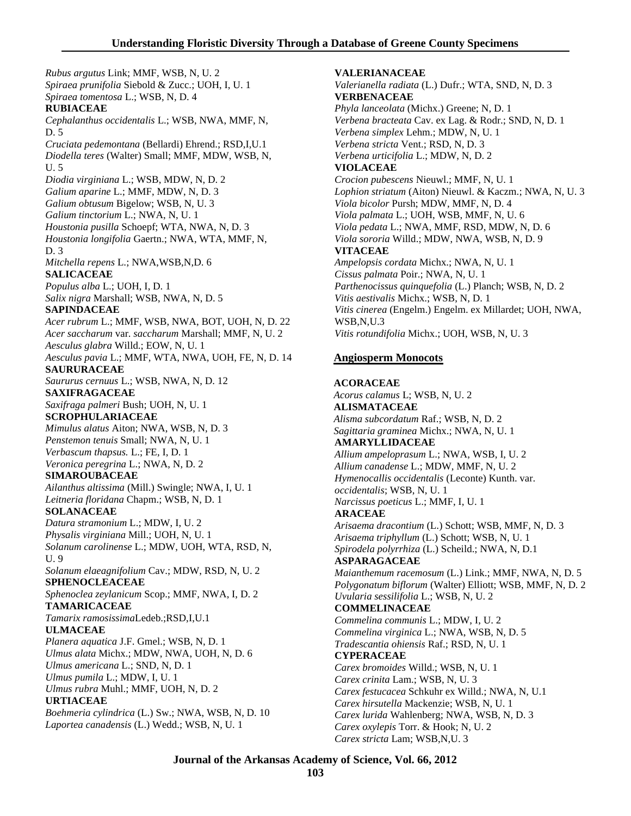*Rubus argutus* Link; MMF, WSB, N, U. 2 *Spiraea prunifolia* Siebold & Zucc.; UOH, I, U. 1 *Spiraea tomentosa* L.; WSB, N, D. 4 **RUBIACEAE** *Cephalanthus occidentalis* L.; WSB, NWA, MMF, N, D. 5 *Cruciata pedemontana* (Bellardi) Ehrend.; RSD,I,U.1 *Diodella teres* (Walter) Small; MMF, MDW, WSB, N, U. 5 *Diodia virginiana* L.; WSB, MDW, N, D. 2 *Galium aparine* L.; MMF, MDW, N, D. 3 *Galium obtusum* Bigelow; WSB, N, U. 3 *Galium tinctorium* L.; NWA, N, U. 1 *Houstonia pusilla* Schoepf; WTA, NWA, N, D. 3 *Houstonia longifolia* Gaertn.; NWA, WTA, MMF, N, D. 3 *Mitchella repens* L.; NWA,WSB,N,D. 6 **SALICACEAE** *Populus alba* L.; UOH, I, D. 1 *Salix nigra* Marshall; WSB, NWA, N, D. 5 **SAPINDACEAE** *Acer rubrum* L.; MMF, WSB, NWA, BOT, UOH, N, D. 22 *Acer saccharum* var. *saccharum* Marshall; MMF, N, U. 2 *Aesculus glabra* Willd.; EOW, N, U. 1 *Aesculus pavia* L.; MMF, WTA, NWA, UOH, FE, N, D. 14 **SAURURACEAE** *Saururus cernuus* L.; WSB, NWA, N, D. 12 **SAXIFRAGACEAE** *Saxifraga palmeri* Bush; UOH, N, U. 1 **SCROPHULARIACEAE** *Mimulus alatus* Aiton; NWA, WSB, N, D. 3 *Penstemon tenuis* Small; NWA, N, U. 1 *Verbascum thapsus.* L.; FE, I, D. 1 *Veronica peregrina* L.; NWA, N, D. 2 **SIMAROUBACEAE** *Ailanthus altissima* (Mill.) Swingle; NWA, I, U. 1 *Leitneria floridana* Chapm.; WSB, N, D. 1 **SOLANACEAE** *Datura stramonium* L.; MDW, I, U. 2 *Physalis virginiana* Mill.; UOH, N, U. 1 *Solanum carolinense* L.; MDW, UOH, WTA, RSD, N, U. 9 *Solanum elaeagnifolium* Cav.; MDW, RSD, N, U. 2 **SPHENOCLEACEAE** *Sphenoclea zeylanicum* Scop.; MMF, NWA, I, D. 2 **TAMARICACEAE** *Tamarix ramosissima*Ledeb.;RSD,I,U.1 **ULMACEAE** *Planera aquatica* J.F. Gmel.; WSB, N, D. 1 *Ulmus alata* Michx.; MDW, NWA, UOH, N, D. 6 *Ulmus americana* L.; SND, N, D. 1 *Ulmus pumila* L.; MDW, I, U. 1 *Ulmus rubra* Muhl.; MMF, UOH, N, D. 2 **URTIACEAE** *Boehmeria cylindrica* (L.) Sw.; NWA, WSB, N, D. 10 *Laportea canadensis* (L.) Wedd.; WSB, N, U. 1

**VALERIANACEAE** *Valerianella radiata* (L.) Dufr.; WTA, SND, N, D. 3 **VERBENACEAE** *Phyla lanceolata* (Michx.) Greene; N, D. 1 *Verbena bracteata* Cav. ex Lag. & Rodr.; SND, N, D. 1 *Verbena simplex* Lehm.; MDW, N, U. 1 *Verbena stricta* Vent.; RSD, N, D. 3 *Verbena urticifolia* L.; MDW, N, D. 2 **VIOLACEAE** *Crocion pubescens* Nieuwl.; MMF, N, U. 1 *Lophion striatum* (Aiton) Nieuwl. & Kaczm.; NWA, N, U. 3 *Viola bicolor* Pursh; MDW, MMF, N, D. 4 *Viola palmata* L.; UOH, WSB, MMF, N, U. 6 *Viola pedata* L.; NWA, MMF, RSD, MDW, N, D. 6 *Viola sororia* Willd.; MDW, NWA, WSB, N, D. 9 **VITACEAE** *Ampelopsis cordata* Michx.; NWA, N, U. 1 *Cissus palmata* Poir.; NWA, N, U. 1 *Parthenocissus quinquefolia* (L.) Planch; WSB, N, D. 2 *Vitis aestivalis* Michx.; WSB, N, D. 1 *Vitis cinerea* (Engelm.) Engelm. ex Millardet; UOH, NWA, WSB,N,U.3 *Vitis rotundifolia* Michx.; UOH, WSB, N, U. 3 **Angiosperm Monocots ACORACEAE** *Acorus calamus* L; WSB, N, U. 2 **ALISMATACEAE** *Alisma subcordatum* Raf.; WSB, N, D. 2 *Sagittaria graminea* Michx.; NWA, N, U. 1 **AMARYLLIDACEAE** *Allium ampeloprasum* L.; NWA, WSB, I, U. 2 *Allium canadense* L.; MDW, MMF, N, U. 2 *Hymenocallis occidentalis* (Leconte) Kunth. var. *occidentalis*; WSB, N, U. 1 *Narcissus poeticus* L.; MMF, I, U. 1 **ARACEAE** *Arisaema dracontium* (L.) Schott; WSB, MMF, N, D. 3 *Arisaema triphyllum* (L.) Schott; WSB, N, U. 1 *Spirodela polyrrhiza* (L.) Scheild.; NWA, N, D.1 **ASPARAGACEAE** *Maianthemum racemosum* (L.) Link.; MMF, NWA, N, D. 5

*Polygonatum biflorum* (Walter) Elliott; WSB, MMF, N, D. 2 *Uvularia sessilifolia* L.; WSB, N, U. 2 **COMMELINACEAE**

*Commelina communis* L.; MDW, I, U. 2 *Commelina virginica* L.; NWA, WSB, N, D. 5 *Tradescantia ohiensis* Raf.; RSD, N, U. 1 **CYPERACEAE** *Carex bromoides* Willd.; WSB, N, U. 1 *Carex crinita* Lam.; WSB, N, U. 3 *Carex festucacea* Schkuhr ex Willd.; NWA, N, U.1 *Carex hirsutella* Mackenzie; WSB, N, U. 1 *Carex lurida* Wahlenberg; NWA, WSB, N, D. 3 *Carex oxylepis* Torr. & Hook; N, U. 2 *Carex stricta* Lam; WSB,N,U. 3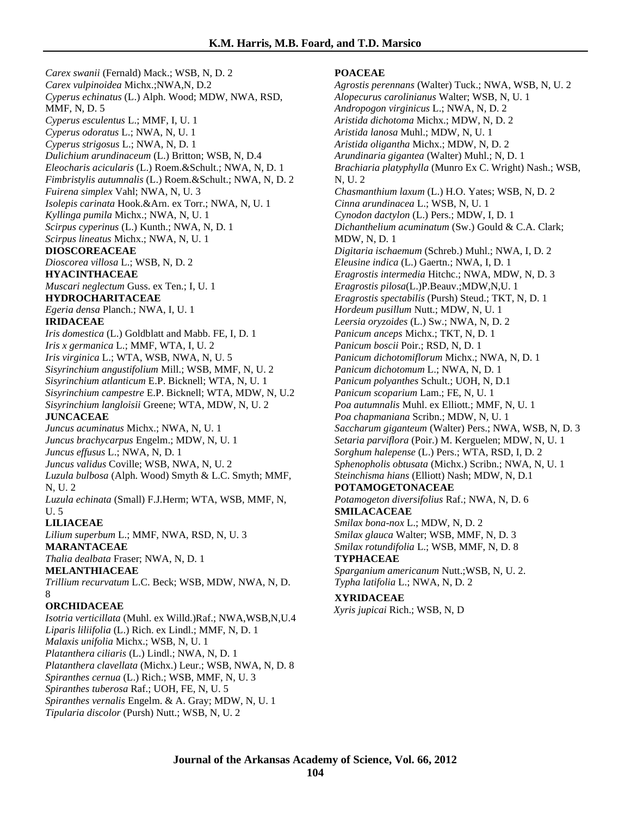*Carex swanii* (Fernald) Mack.; WSB, N, D. 2 *Carex vulpinoidea* Michx.;NWA,N, D.2 *Cyperus echinatus* (L.) Alph. Wood; MDW, NWA, RSD, MMF, N, D. 5 *Cyperus esculentus* L.; MMF, I, U. 1 *Cyperus odoratus* L.; NWA, N, U. 1 *Cyperus strigosus* L.; NWA, N, D. 1 *Dulichium arundinaceum* (L.) Britton; WSB, N, D.4 *Eleocharis acicularis* (L.) Roem.&Schult.; NWA, N, D. 1 *Fimbristylis autumnalis* (L.) Roem.&Schult.; NWA, N, D. 2 *Fuirena simplex* Vahl; NWA, N, U. 3 *Isolepis carinata* Hook.&Arn. ex Torr.; NWA, N, U. 1 *Kyllinga pumila* Michx.; NWA, N, U. 1 *Scirpus cyperinus* (L.) Kunth.; NWA, N, D. 1 *Scirpus lineatus* Michx.; NWA, N, U. 1 **DIOSCOREACEAE** *Dioscorea villosa* L.; WSB, N, D. 2 **HYACINTHACEAE** *Muscari neglectum* Guss. ex Ten.; I, U. 1 **HYDROCHARITACEAE** *Egeria densa* Planch.; NWA, I, U. 1 **IRIDACEAE** *Iris domestica* (L.) Goldblatt and Mabb. FE, I, D. 1 *Iris x germanica* L.; MMF, WTA, I, U. 2 *Iris virginica* L.; WTA, WSB, NWA, N, U. 5 *Sisyrinchium angustifolium* Mill.; WSB, MMF, N, U. 2 *Sisyrinchium atlanticum* E.P. Bicknell; WTA, N, U. 1 *Sisyrinchium campestre* E.P. Bicknell; WTA, MDW, N, U.2 *Sisyrinchium langloisii* Greene; WTA, MDW, N, U. 2 **JUNCACEAE** *Juncus acuminatus* Michx.; NWA, N, U. 1 *Juncus brachycarpus* Engelm.; MDW, N, U. 1 *Juncus effusus* L.; NWA, N, D. 1 *Juncus validus* Coville; WSB, NWA, N, U. 2 *Luzula bulbosa* (Alph. Wood) Smyth & L.C. Smyth; MMF, N, U. 2 *Luzula echinata* (Small) F.J.Herm; WTA, WSB, MMF, N, U. 5 **LILIACEAE** *Lilium superbum* L.; MMF, NWA, RSD, N, U. 3 **MARANTACEAE** *Thalia dealbata* Fraser; NWA, N, D. 1 **MELANTHIACEAE** *Trillium recurvatum* L.C. Beck; WSB, MDW, NWA, N, D. 8 **ORCHIDACEAE**

*Isotria verticillata* (Muhl. ex Willd.)Raf.; NWA,WSB,N,U.4 *Liparis liliifolia* (L.) Rich. ex Lindl.; MMF, N, D. 1 *Malaxis unifolia* Michx.; WSB, N, U. 1 *Platanthera ciliaris* (L.) Lindl.; NWA, N, D. 1 *Platanthera clavellata* (Michx.) Leur.; WSB, NWA, N, D. 8 *Spiranthes cernua* (L.) Rich.; WSB, MMF, N, U. 3 *Spiranthes tuberosa* Raf.; UOH, FE, N, U. 5 *Spiranthes vernalis* Engelm. & A. Gray; MDW, N, U. 1 *Tipularia discolor* (Pursh) Nutt.; WSB, N, U. 2

#### **POACEAE**

*Agrostis perennans* (Walter) Tuck.; NWA, WSB, N, U. 2 *Alopecurus carolinianus* Walter; WSB, N, U. 1 *Andropogon virginicus* L.; NWA, N, D. 2 *Aristida dichotoma* Michx.; MDW, N, D. 2 *Aristida lanosa* Muhl.; MDW, N, U. 1 *Aristida oligantha* Michx.; MDW, N, D. 2 *Arundinaria gigantea* (Walter) Muhl.; N, D. 1 *Brachiaria platyphylla* (Munro Ex C. Wright) Nash.; WSB, N, U. 2 *Chasmanthium laxum* (L.) H.O. Yates; WSB, N, D. 2 *Cinna arundinacea* L.; WSB, N, U. 1 *Cynodon dactylon* (L.) Pers.; MDW, I, D. 1 *Dichanthelium acuminatum* (Sw.) Gould & C.A. Clark; MDW, N, D. 1 *Digitaria ischaemum* (Schreb.) Muhl.; NWA, I, D. 2 *Eleusine indica* (L.) Gaertn.; NWA, I, D. 1 *Eragrostis intermedia* Hitchc.; NWA, MDW, N, D. 3 *Eragrostis pilosa*(L.)P.Beauv.;MDW,N,U. 1 *Eragrostis spectabilis* (Pursh) Steud.; TKT, N, D. 1 *Hordeum pusillum* Nutt.; MDW, N, U. 1 *Leersia oryzoides* (L.) Sw.; NWA, N, D. 2 *Panicum anceps* Michx.; TKT, N, D. 1 *Panicum boscii* Poir.; RSD, N, D. 1 *Panicum dichotomiflorum* Michx.; NWA, N, D. 1 *Panicum dichotomum* L.; NWA, N, D. 1 *Panicum polyanthes* Schult.; UOH, N, D.1 *Panicum scoparium* Lam.; FE, N, U. 1 *Poa autumnalis* Muhl. ex Elliott.; MMF, N, U. 1 *Poa chapmaniana* Scribn.; MDW, N, U. 1 *Saccharum giganteum* (Walter) Pers.; NWA, WSB, N, D. 3 *Setaria parviflora* (Poir.) M. Kerguelen; MDW, N, U. 1 *Sorghum halepense* (L.) Pers.; WTA, RSD, I, D. 2 *Sphenopholis obtusata* (Michx.) Scribn.; NWA, N, U. 1 *Steinchisma hians* (Elliott) Nash; MDW, N, D.1 **POTAMOGETONACEAE** *Potamogeton diversifolius* Raf.; NWA, N, D. 6 **SMILACACEAE** *Smilax bona-nox* L.; MDW, N, D. 2 *Smilax glauca* Walter; WSB, MMF, N, D. 3 *Smilax rotundifolia* L.; WSB, MMF, N, D. 8 **TYPHACEAE** *Sparganium americanum* Nutt.;WSB, N, U. 2. *Typha latifolia* L.; NWA, N, D. 2

### **XYRIDACEAE**

*Xyris jupicai* Rich.; WSB, N, D